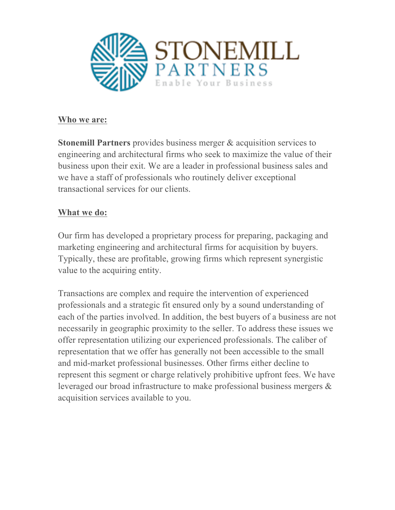

## **Who we are:**

**Stonemill Partners** provides business merger & acquisition services to engineering and architectural firms who seek to maximize the value of their business upon their exit. We are a leader in professional business sales and we have a staff of professionals who routinely deliver exceptional transactional services for our clients.

## **What we do:**

Our firm has developed a proprietary process for preparing, packaging and marketing engineering and architectural firms for acquisition by buyers. Typically, these are profitable, growing firms which represent synergistic value to the acquiring entity.

Transactions are complex and require the intervention of experienced professionals and a strategic fit ensured only by a sound understanding of each of the parties involved. In addition, the best buyers of a business are not necessarily in geographic proximity to the seller. To address these issues we offer representation utilizing our experienced professionals. The caliber of representation that we offer has generally not been accessible to the small and mid-market professional businesses. Other firms either decline to represent this segment or charge relatively prohibitive upfront fees. We have leveraged our broad infrastructure to make professional business mergers & acquisition services available to you.